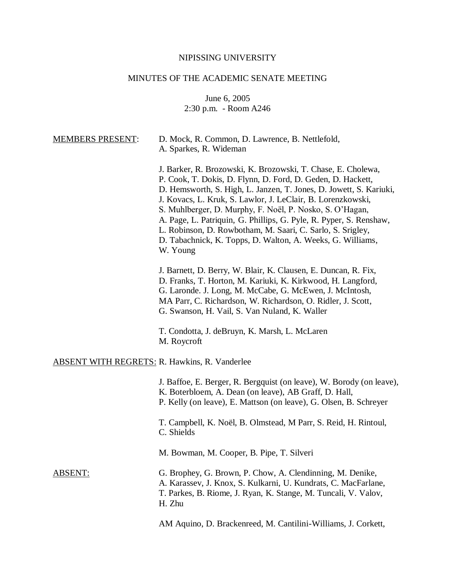# NIPISSING UNIVERSITY

# MINUTES OF THE ACADEMIC SENATE MEETING

June 6, 2005 2:30 p.m. - Room A246

| <b>MEMBERS PRESENT:</b>                              | D. Mock, R. Common, D. Lawrence, B. Nettlefold,<br>A. Sparkes, R. Wideman                                                                                                                                                                                                                                                                                                                                                                                                                                                                  |
|------------------------------------------------------|--------------------------------------------------------------------------------------------------------------------------------------------------------------------------------------------------------------------------------------------------------------------------------------------------------------------------------------------------------------------------------------------------------------------------------------------------------------------------------------------------------------------------------------------|
|                                                      | J. Barker, R. Brozowski, K. Brozowski, T. Chase, E. Cholewa,<br>P. Cook, T. Dokis, D. Flynn, D. Ford, D. Geden, D. Hackett,<br>D. Hemsworth, S. High, L. Janzen, T. Jones, D. Jowett, S. Kariuki,<br>J. Kovacs, L. Kruk, S. Lawlor, J. LeClair, B. Lorenzkowski,<br>S. Muhlberger, D. Murphy, F. Noël, P. Nosko, S. O'Hagan,<br>A. Page, L. Patriquin, G. Phillips, G. Pyle, R. Pyper, S. Renshaw,<br>L. Robinson, D. Rowbotham, M. Saari, C. Sarlo, S. Srigley,<br>D. Tabachnick, K. Topps, D. Walton, A. Weeks, G. Williams,<br>W. Young |
|                                                      | J. Barnett, D. Berry, W. Blair, K. Clausen, E. Duncan, R. Fix,<br>D. Franks, T. Horton, M. Kariuki, K. Kirkwood, H. Langford,<br>G. Laronde. J. Long, M. McCabe, G. McEwen, J. McIntosh,<br>MA Parr, C. Richardson, W. Richardson, O. Ridler, J. Scott,<br>G. Swanson, H. Vail, S. Van Nuland, K. Waller                                                                                                                                                                                                                                   |
|                                                      | T. Condotta, J. deBruyn, K. Marsh, L. McLaren<br>M. Roycroft                                                                                                                                                                                                                                                                                                                                                                                                                                                                               |
| <b>ABSENT WITH REGRETS: R. Hawkins, R. Vanderlee</b> |                                                                                                                                                                                                                                                                                                                                                                                                                                                                                                                                            |
|                                                      | J. Baffoe, E. Berger, R. Bergquist (on leave), W. Borody (on leave),<br>K. Boterbloem, A. Dean (on leave), AB Graff, D. Hall,<br>P. Kelly (on leave), E. Mattson (on leave), G. Olsen, B. Schreyer                                                                                                                                                                                                                                                                                                                                         |
|                                                      | T. Campbell, K. Noël, B. Olmstead, M Parr, S. Reid, H. Rintoul,<br>C. Shields                                                                                                                                                                                                                                                                                                                                                                                                                                                              |
|                                                      | M. Bowman, M. Cooper, B. Pipe, T. Silveri                                                                                                                                                                                                                                                                                                                                                                                                                                                                                                  |
| ABSENT:                                              | G. Brophey, G. Brown, P. Chow, A. Clendinning, M. Denike,<br>A. Karassev, J. Knox, S. Kulkarni, U. Kundrats, C. MacFarlane,<br>T. Parkes, B. Riome, J. Ryan, K. Stange, M. Tuncali, V. Valov,<br>H. Zhu                                                                                                                                                                                                                                                                                                                                    |
|                                                      | AM Aquino, D. Brackenreed, M. Cantilini-Williams, J. Corkett,                                                                                                                                                                                                                                                                                                                                                                                                                                                                              |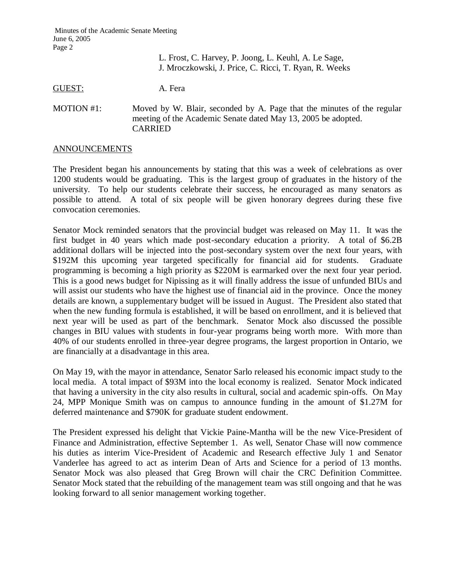|            | L. Frost, C. Harvey, P. Joong, L. Keuhl, A. Le Sage,<br>J. Mroczkowski, J. Price, C. Ricci, T. Ryan, R. Weeks                                             |
|------------|-----------------------------------------------------------------------------------------------------------------------------------------------------------|
| GUEST:     | A. Fera                                                                                                                                                   |
| MOTION #1: | Moved by W. Blair, seconded by A. Page that the minutes of the regular<br>meeting of the Academic Senate dated May 13, 2005 be adopted.<br><b>CARRIED</b> |

## ANNOUNCEMENTS

The President began his announcements by stating that this was a week of celebrations as over 1200 students would be graduating. This is the largest group of graduates in the history of the university. To help our students celebrate their success, he encouraged as many senators as possible to attend. A total of six people will be given honorary degrees during these five convocation ceremonies.

Senator Mock reminded senators that the provincial budget was released on May 11. It was the first budget in 40 years which made post-secondary education a priority. A total of \$6.2B additional dollars will be injected into the post-secondary system over the next four years, with \$192M this upcoming year targeted specifically for financial aid for students. Graduate programming is becoming a high priority as \$220M is earmarked over the next four year period. This is a good news budget for Nipissing as it will finally address the issue of unfunded BIUs and will assist our students who have the highest use of financial aid in the province. Once the money details are known, a supplementary budget will be issued in August. The President also stated that when the new funding formula is established, it will be based on enrollment, and it is believed that next year will be used as part of the benchmark. Senator Mock also discussed the possible changes in BIU values with students in four-year programs being worth more. With more than 40% of our students enrolled in three-year degree programs, the largest proportion in Ontario, we are financially at a disadvantage in this area.

On May 19, with the mayor in attendance, Senator Sarlo released his economic impact study to the local media. A total impact of \$93M into the local economy is realized. Senator Mock indicated that having a university in the city also results in cultural, social and academic spin-offs. On May 24, MPP Monique Smith was on campus to announce funding in the amount of \$1.27M for deferred maintenance and \$790K for graduate student endowment.

The President expressed his delight that Vickie Paine-Mantha will be the new Vice-President of Finance and Administration, effective September 1. As well, Senator Chase will now commence his duties as interim Vice-President of Academic and Research effective July 1 and Senator Vanderlee has agreed to act as interim Dean of Arts and Science for a period of 13 months. Senator Mock was also pleased that Greg Brown will chair the CRC Definition Committee. Senator Mock stated that the rebuilding of the management team was still ongoing and that he was looking forward to all senior management working together.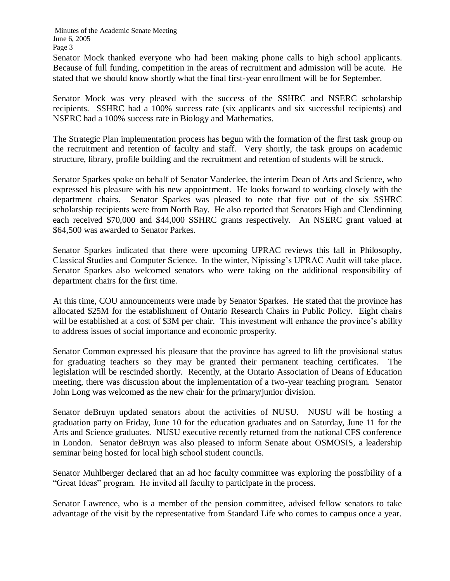Senator Mock thanked everyone who had been making phone calls to high school applicants. Because of full funding, competition in the areas of recruitment and admission will be acute. He stated that we should know shortly what the final first-year enrollment will be for September.

Senator Mock was very pleased with the success of the SSHRC and NSERC scholarship recipients. SSHRC had a 100% success rate (six applicants and six successful recipients) and NSERC had a 100% success rate in Biology and Mathematics.

The Strategic Plan implementation process has begun with the formation of the first task group on the recruitment and retention of faculty and staff. Very shortly, the task groups on academic structure, library, profile building and the recruitment and retention of students will be struck.

Senator Sparkes spoke on behalf of Senator Vanderlee, the interim Dean of Arts and Science, who expressed his pleasure with his new appointment. He looks forward to working closely with the department chairs. Senator Sparkes was pleased to note that five out of the six SSHRC scholarship recipients were from North Bay. He also reported that Senators High and Clendinning each received \$70,000 and \$44,000 SSHRC grants respectively. An NSERC grant valued at \$64,500 was awarded to Senator Parkes.

Senator Sparkes indicated that there were upcoming UPRAC reviews this fall in Philosophy, Classical Studies and Computer Science. In the winter, Nipissing's UPRAC Audit will take place. Senator Sparkes also welcomed senators who were taking on the additional responsibility of department chairs for the first time.

At this time, COU announcements were made by Senator Sparkes. He stated that the province has allocated \$25M for the establishment of Ontario Research Chairs in Public Policy. Eight chairs will be established at a cost of \$3M per chair. This investment will enhance the province's ability to address issues of social importance and economic prosperity.

Senator Common expressed his pleasure that the province has agreed to lift the provisional status for graduating teachers so they may be granted their permanent teaching certificates. The legislation will be rescinded shortly. Recently, at the Ontario Association of Deans of Education meeting, there was discussion about the implementation of a two-year teaching program. Senator John Long was welcomed as the new chair for the primary/junior division.

Senator deBruyn updated senators about the activities of NUSU. NUSU will be hosting a graduation party on Friday, June 10 for the education graduates and on Saturday, June 11 for the Arts and Science graduates. NUSU executive recently returned from the national CFS conference in London. Senator deBruyn was also pleased to inform Senate about OSMOSIS, a leadership seminar being hosted for local high school student councils.

Senator Muhlberger declared that an ad hoc faculty committee was exploring the possibility of a "Great Ideas" program. He invited all faculty to participate in the process.

Senator Lawrence, who is a member of the pension committee, advised fellow senators to take advantage of the visit by the representative from Standard Life who comes to campus once a year.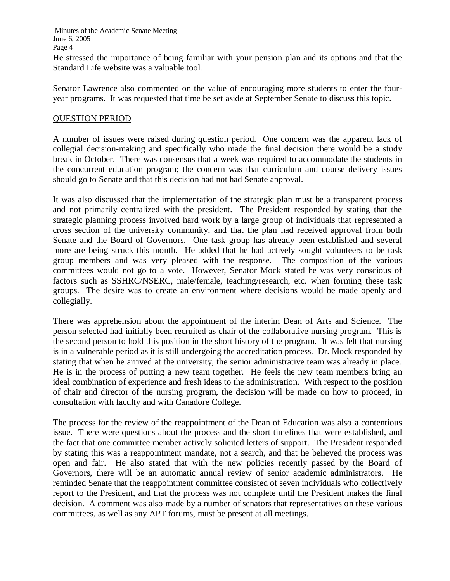He stressed the importance of being familiar with your pension plan and its options and that the Standard Life website was a valuable tool.

Senator Lawrence also commented on the value of encouraging more students to enter the fouryear programs. It was requested that time be set aside at September Senate to discuss this topic.

## QUESTION PERIOD

A number of issues were raised during question period. One concern was the apparent lack of collegial decision-making and specifically who made the final decision there would be a study break in October. There was consensus that a week was required to accommodate the students in the concurrent education program; the concern was that curriculum and course delivery issues should go to Senate and that this decision had not had Senate approval.

It was also discussed that the implementation of the strategic plan must be a transparent process and not primarily centralized with the president. The President responded by stating that the strategic planning process involved hard work by a large group of individuals that represented a cross section of the university community, and that the plan had received approval from both Senate and the Board of Governors. One task group has already been established and several more are being struck this month. He added that he had actively sought volunteers to be task group members and was very pleased with the response. The composition of the various committees would not go to a vote. However, Senator Mock stated he was very conscious of factors such as SSHRC/NSERC, male/female, teaching/research, etc. when forming these task groups. The desire was to create an environment where decisions would be made openly and collegially.

There was apprehension about the appointment of the interim Dean of Arts and Science. The person selected had initially been recruited as chair of the collaborative nursing program. This is the second person to hold this position in the short history of the program. It was felt that nursing is in a vulnerable period as it is still undergoing the accreditation process. Dr. Mock responded by stating that when he arrived at the university, the senior administrative team was already in place. He is in the process of putting a new team together. He feels the new team members bring an ideal combination of experience and fresh ideas to the administration. With respect to the position of chair and director of the nursing program, the decision will be made on how to proceed, in consultation with faculty and with Canadore College.

The process for the review of the reappointment of the Dean of Education was also a contentious issue. There were questions about the process and the short timelines that were established, and the fact that one committee member actively solicited letters of support. The President responded by stating this was a reappointment mandate, not a search, and that he believed the process was open and fair. He also stated that with the new policies recently passed by the Board of Governors, there will be an automatic annual review of senior academic administrators. He reminded Senate that the reappointment committee consisted of seven individuals who collectively report to the President, and that the process was not complete until the President makes the final decision. A comment was also made by a number of senators that representatives on these various committees, as well as any APT forums, must be present at all meetings.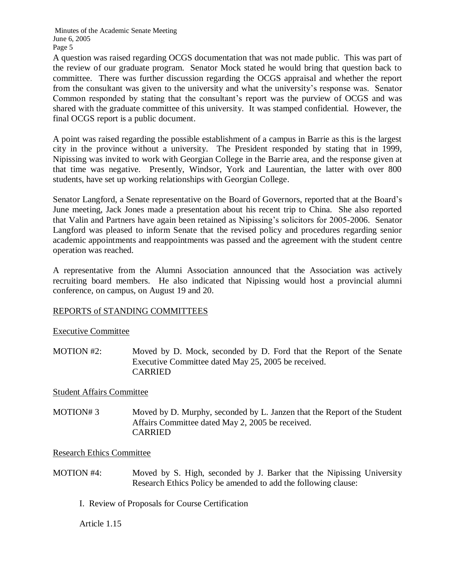A question was raised regarding OCGS documentation that was not made public. This was part of the review of our graduate program. Senator Mock stated he would bring that question back to committee. There was further discussion regarding the OCGS appraisal and whether the report from the consultant was given to the university and what the university's response was. Senator Common responded by stating that the consultant's report was the purview of OCGS and was shared with the graduate committee of this university. It was stamped confidential. However, the final OCGS report is a public document.

A point was raised regarding the possible establishment of a campus in Barrie as this is the largest city in the province without a university. The President responded by stating that in 1999, Nipissing was invited to work with Georgian College in the Barrie area, and the response given at that time was negative. Presently, Windsor, York and Laurentian, the latter with over 800 students, have set up working relationships with Georgian College.

Senator Langford, a Senate representative on the Board of Governors, reported that at the Board's June meeting, Jack Jones made a presentation about his recent trip to China. She also reported that Valin and Partners have again been retained as Nipissing's solicitors for 2005-2006. Senator Langford was pleased to inform Senate that the revised policy and procedures regarding senior academic appointments and reappointments was passed and the agreement with the student centre operation was reached.

A representative from the Alumni Association announced that the Association was actively recruiting board members. He also indicated that Nipissing would host a provincial alumni conference, on campus, on August 19 and 20.

# REPORTS of STANDING COMMITTEES

Executive Committee

MOTION #2: Moved by D. Mock, seconded by D. Ford that the Report of the Senate Executive Committee dated May 25, 2005 be received. CARRIED

Student Affairs Committee

MOTION# 3 Moved by D. Murphy, seconded by L. Janzen that the Report of the Student Affairs Committee dated May 2, 2005 be received. CARRIED

Research Ethics Committee

- MOTION #4: Moved by S. High, seconded by J. Barker that the Nipissing University Research Ethics Policy be amended to add the following clause:
	- I. Review of Proposals for Course Certification

Article 1.15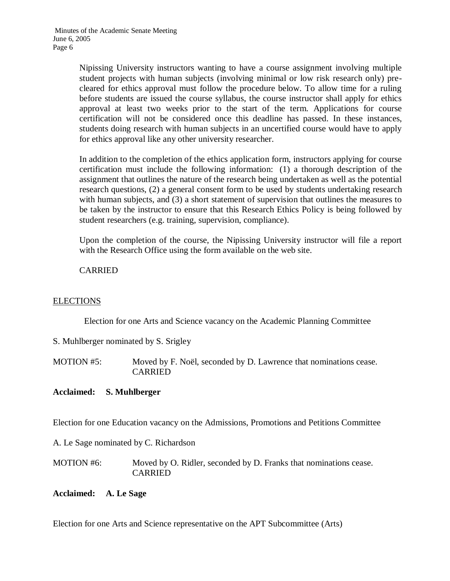Nipissing University instructors wanting to have a course assignment involving multiple student projects with human subjects (involving minimal or low risk research only) precleared for ethics approval must follow the procedure below. To allow time for a ruling before students are issued the course syllabus, the course instructor shall apply for ethics approval at least two weeks prior to the start of the term. Applications for course certification will not be considered once this deadline has passed. In these instances, students doing research with human subjects in an uncertified course would have to apply for ethics approval like any other university researcher.

In addition to the completion of the ethics application form, instructors applying for course certification must include the following information: (1) a thorough description of the assignment that outlines the nature of the research being undertaken as well as the potential research questions, (2) a general consent form to be used by students undertaking research with human subjects, and (3) a short statement of supervision that outlines the measures to be taken by the instructor to ensure that this Research Ethics Policy is being followed by student researchers (e.g. training, supervision, compliance).

Upon the completion of the course, the Nipissing University instructor will file a report with the Research Office using the form available on the web site.

CARRIED

## ELECTIONS

Election for one Arts and Science vacancy on the Academic Planning Committee

S. Muhlberger nominated by S. Srigley

MOTION #5: Moved by F. Noël, seconded by D. Lawrence that nominations cease. CARRIED

## **Acclaimed: S. Muhlberger**

Election for one Education vacancy on the Admissions, Promotions and Petitions Committee

A. Le Sage nominated by C. Richardson

MOTION #6: Moved by O. Ridler, seconded by D. Franks that nominations cease. CARRIED

## **Acclaimed: A. Le Sage**

Election for one Arts and Science representative on the APT Subcommittee (Arts)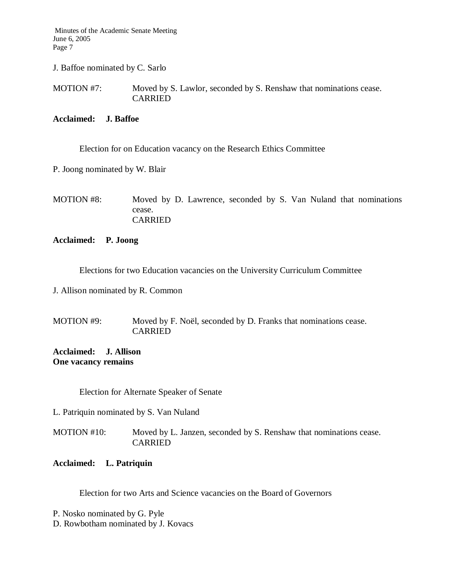J. Baffoe nominated by C. Sarlo

MOTION #7: Moved by S. Lawlor, seconded by S. Renshaw that nominations cease. CARRIED

#### **Acclaimed: J. Baffoe**

Election for on Education vacancy on the Research Ethics Committee

P. Joong nominated by W. Blair

MOTION #8: Moved by D. Lawrence, seconded by S. Van Nuland that nominations cease. CARRIED

## **Acclaimed: P. Joong**

Elections for two Education vacancies on the University Curriculum Committee

J. Allison nominated by R. Common

MOTION #9: Moved by F. Noël, seconded by D. Franks that nominations cease. CARRIED

**Acclaimed: J. Allison One vacancy remains**

Election for Alternate Speaker of Senate

L. Patriquin nominated by S. Van Nuland

MOTION #10: Moved by L. Janzen, seconded by S. Renshaw that nominations cease. CARRIED

## **Acclaimed: L. Patriquin**

Election for two Arts and Science vacancies on the Board of Governors

P. Nosko nominated by G. Pyle D. Rowbotham nominated by J. Kovacs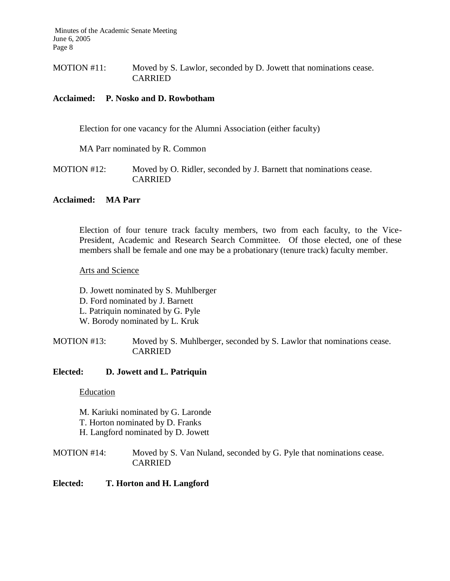MOTION #11: Moved by S. Lawlor, seconded by D. Jowett that nominations cease. CARRIED

## **Acclaimed: P. Nosko and D. Rowbotham**

Election for one vacancy for the Alumni Association (either faculty)

MA Parr nominated by R. Common

MOTION #12: Moved by O. Ridler, seconded by J. Barnett that nominations cease. CARRIED

## **Acclaimed: MA Parr**

Election of four tenure track faculty members, two from each faculty, to the Vice-President, Academic and Research Search Committee. Of those elected, one of these members shall be female and one may be a probationary (tenure track) faculty member.

## Arts and Science

D. Jowett nominated by S. Muhlberger D. Ford nominated by J. Barnett L. Patriquin nominated by G. Pyle W. Borody nominated by L. Kruk

MOTION #13: Moved by S. Muhlberger, seconded by S. Lawlor that nominations cease. **CARRIED** 

#### **Elected: D. Jowett and L. Patriquin**

Education

M. Kariuki nominated by G. Laronde T. Horton nominated by D. Franks H. Langford nominated by D. Jowett

MOTION #14: Moved by S. Van Nuland, seconded by G. Pyle that nominations cease. CARRIED

#### **Elected: T. Horton and H. Langford**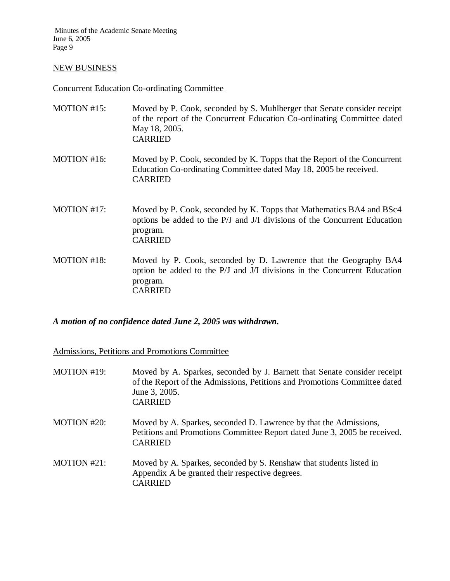#### NEW BUSINESS

## Concurrent Education Co-ordinating Committee

| MOTION #15: | Moved by P. Cook, seconded by S. Muhlberger that Senate consider receipt<br>of the report of the Concurrent Education Co-ordinating Committee dated<br>May 18, 2005.<br><b>CARRIED</b> |
|-------------|----------------------------------------------------------------------------------------------------------------------------------------------------------------------------------------|
| MOTION #16: | Moved by P. Cook, seconded by K. Topps that the Report of the Concurrent<br>Education Co-ordinating Committee dated May 18, 2005 be received.<br><b>CARRIED</b>                        |
| MOTION #17: | Moved by P. Cook, seconded by K. Topps that Mathematics BA4 and BSc4<br>options be added to the P/J and J/I divisions of the Concurrent Education<br>program.                          |

MOTION #18: Moved by P. Cook, seconded by D. Lawrence that the Geography BA4 option be added to the P/J and J/I divisions in the Concurrent Education program. CARRIED

*A motion of no confidence dated June 2, 2005 was withdrawn.*

CARRIED

Admissions, Petitions and Promotions Committee

| MOTION #19:    | Moved by A. Sparkes, seconded by J. Barnett that Senate consider receipt<br>of the Report of the Admissions, Petitions and Promotions Committee dated<br>June 3, 2005.<br><b>CARRIED</b> |
|----------------|------------------------------------------------------------------------------------------------------------------------------------------------------------------------------------------|
| MOTION $#20$ : | Moved by A. Sparkes, seconded D. Lawrence by that the Admissions,<br>Petitions and Promotions Committee Report dated June 3, 2005 be received.<br><b>CARRIED</b>                         |
| MOTION $#21$ : | Moved by A. Sparkes, seconded by S. Renshaw that students listed in<br>Appendix A be granted their respective degrees.<br><b>CARRIED</b>                                                 |